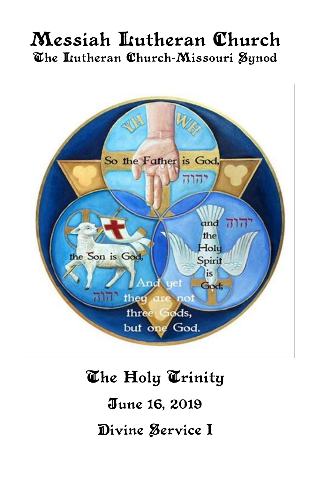## Messiah Lutheran Church The Itutheran Church-Missouri Synod



# The Holy Trinity June 16, 2019 Divine Service I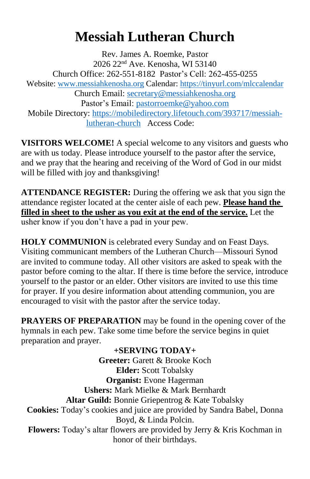## **Messiah Lutheran Church**

Rev. James A. Roemke, Pastor 2026 22nd Ave. Kenosha, WI 53140 Church Office: 262-551-8182 Pastor's Cell: 262-455-0255 Website: [www.messiahkenosha.org](http://www.messiahkenosha.org/) Calendar:<https://tinyurl.com/mlccalendar> Church Email:<secretary@messiahkenosha.org> Pastor's Email: [pastorroemke@yahoo.com](mailto:pastorroemke@yahoo.com) Mobile Directory: [https://mobiledirectory.lifetouch.com/393717/messiah](https://mobiledirectory.lifetouch.com/393717/messiah-lutheran-church)[lutheran-church](https://mobiledirectory.lifetouch.com/393717/messiah-lutheran-church) Access Code:

**VISITORS WELCOME!** A special welcome to any visitors and guests who are with us today. Please introduce yourself to the pastor after the service, and we pray that the hearing and receiving of the Word of God in our midst will be filled with joy and thanksgiving!

**ATTENDANCE REGISTER:** During the offering we ask that you sign the attendance register located at the center aisle of each pew. **Please hand the filled in sheet to the usher as you exit at the end of the service.** Let the usher know if you don't have a pad in your pew.

**HOLY COMMUNION** is celebrated every Sunday and on Feast Days. Visiting communicant members of the Lutheran Church—Missouri Synod are invited to commune today. All other visitors are asked to speak with the pastor before coming to the altar. If there is time before the service, introduce yourself to the pastor or an elder. Other visitors are invited to use this time for prayer. If you desire information about attending communion, you are encouraged to visit with the pastor after the service today.

**PRAYERS OF PREPARATION** may be found in the opening cover of the hymnals in each pew. Take some time before the service begins in quiet preparation and prayer.

**+SERVING TODAY+ Greeter:** Garett & Brooke Koch **Elder:** Scott Tobalsky **Organist:** Evone Hagerman **Ushers:** Mark Mielke & Mark Bernhardt **Altar Guild:** Bonnie Griepentrog & Kate Tobalsky **Cookies:** Today's cookies and juice are provided by Sandra Babel, Donna Boyd, & Linda Polcin. **Flowers:** Today's altar flowers are provided by Jerry & Kris Kochman in honor of their birthdays.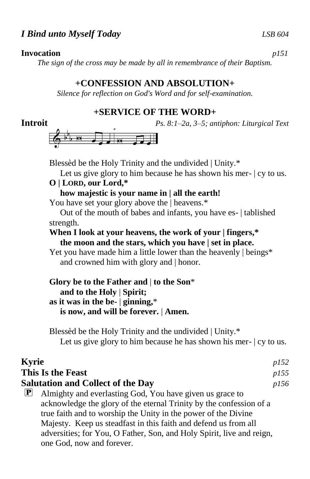#### *I Bind unto Myself Today LSB 604*

#### **Invocation** *p151*

*The sign of the cross may be made by all in remembrance of their Baptism.*

#### **+CONFESSION AND ABSOLUTION+**

*Silence for reflection on God's Word and for self-examination.*

#### **+SERVICE OF THE WORD+**

**Introit** *Ps. 8:1–2a, 3–5; antiphon: Liturgical Text*



Blessèd be the Holy Trinity and the undivided | Unity.\*

Let us give glory to him because he has shown his mer-  $|cy|$  to us.

#### **O | LORD, our Lord,\***

 **how majestic is your name in | all the earth!**

You have set your glory above the | heavens.\*

 Out of the mouth of babes and infants, you have es- | tablished strength.

#### **When I look at your heavens, the work of your | fingers,\* the moon and the stars, which you have | set in place.**

Yet you have made him a little lower than the heavenly | beings\* and crowned him with glory and | honor.

#### **Glory be to the Father and** | **to the Son**\*  **and to the Holy** | **Spirit; as it was in the be-** | **ginning,**\*  **is now, and will be forever.** | **Amen.**

Blessèd be the Holy Trinity and the undivided | Unity.\* Let us give glory to him because he has shown his mer-  $|cy|$  to us.

| <b>Kyrie</b>              |                                                                       | p152 |
|---------------------------|-----------------------------------------------------------------------|------|
|                           | This Is the Feast                                                     | p155 |
|                           | <b>Salutation and Collect of the Day</b>                              | p156 |
| $\left[\mathbf{P}\right]$ | Almighty and everlasting God, You have given us grace to              |      |
|                           | acknowledge the glory of the eternal Trinity by the confession of a   |      |
|                           | true faith and to worship the Unity in the power of the Divine        |      |
|                           | Majesty. Keep us steadfast in this faith and defend us from all       |      |
|                           | adversities; for You, O Father, Son, and Holy Spirit, live and reign, |      |
|                           | one God, now and forever.                                             |      |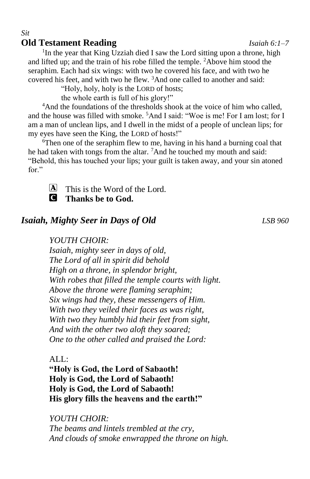### **Old Testament Reading** *Isaiah 6:1–7*

*Sit*

<sup>1</sup>In the year that King Uzziah died I saw the Lord sitting upon a throne, high and lifted up; and the train of his robe filled the temple. <sup>2</sup>Above him stood the seraphim. Each had six wings: with two he covered his face, and with two he covered his feet, and with two he flew. <sup>3</sup>And one called to another and said:

"Holy, holy, holy is the LORD of hosts;

the whole earth is full of his glory!"

<sup>4</sup>And the foundations of the thresholds shook at the voice of him who called, and the house was filled with smoke. <sup>5</sup>And I said: "Woe is me! For I am lost; for I am a man of unclean lips, and I dwell in the midst of a people of unclean lips; for my eyes have seen the King, the LORD of hosts!"

 $6$ Then one of the seraphim flew to me, having in his hand a burning coal that he had taken with tongs from the altar. <sup>7</sup>And he touched my mouth and said: "Behold, this has touched your lips; your guilt is taken away, and your sin atoned for."



 $\bf{A}$  This is the Word of the Lord. C **Thanks be to God.**

#### *Isaiah, Mighty Seer in Days of Old LSB 960*

#### *YOUTH CHOIR:*

*Isaiah, mighty seer in days of old, The Lord of all in spirit did behold High on a throne, in splendor bright, With robes that filled the temple courts with light. Above the throne were flaming seraphim; Six wings had they, these messengers of Him. With two they veiled their faces as was right, With two they humbly hid their feet from sight, And with the other two aloft they soared; One to the other called and praised the Lord:*

#### ALL:

**"Holy is God, the Lord of Sabaoth! Holy is God, the Lord of Sabaoth! Holy is God, the Lord of Sabaoth! His glory fills the heavens and the earth!"**

*YOUTH CHOIR: The beams and lintels trembled at the cry, And clouds of smoke enwrapped the throne on high.*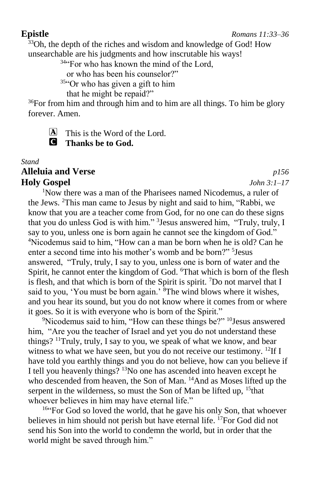#### **Epistle** *Romans 11:33–36*

 $33$ Oh, the depth of the riches and wisdom and knowledge of God! How unsearchable are his judgments and how inscrutable his ways!

<sup>34"</sup>For who has known the mind of the Lord,

or who has been his counselor?"

<sup>35</sup>"Or who has given a gift to him

that he might be repaid?"

<sup>36</sup>For from him and through him and to him are all things. To him be glory forever. Amen.

 $[A]$  This is the Word of the Lord. C **Thanks be to God.**

#### *Stand* **Alleluia and Verse** *p156* **Holy Gospel** *John 3:1–17*

<sup>1</sup>Now there was a man of the Pharisees named Nicodemus, a ruler of the Jews. <sup>2</sup>This man came to Jesus by night and said to him, "Rabbi, we know that you are a teacher come from God, for no one can do these signs that you do unless God is with him." <sup>3</sup> Jesus answered him, "Truly, truly, I say to you, unless one is born again he cannot see the kingdom of God." <sup>4</sup>Nicodemus said to him, "How can a man be born when he is old? Can he enter a second time into his mother's womb and be born?" <sup>5</sup>Jesus answered, "Truly, truly, I say to you, unless one is born of water and the Spirit, he cannot enter the kingdom of God. <sup>6</sup>That which is born of the flesh is flesh, and that which is born of the Spirit is spirit. <sup>7</sup>Do not marvel that I said to you, 'You must be born again.'  $\delta$ The wind blows where it wishes, and you hear its sound, but you do not know where it comes from or where it goes. So it is with everyone who is born of the Spirit."

<sup>9</sup>Nicodemus said to him, "How can these things be?" <sup>10</sup>Jesus answered him, "Are you the teacher of Israel and yet you do not understand these things?  $11$ Truly, truly, I say to you, we speak of what we know, and bear witness to what we have seen, but you do not receive our testimony. <sup>12</sup>If I have told you earthly things and you do not believe, how can you believe if I tell you heavenly things? <sup>13</sup>No one has ascended into heaven except he who descended from heaven, the Son of Man. <sup>14</sup>And as Moses lifted up the serpent in the wilderness, so must the Son of Man be lifted up,  $15$  that whoever believes in him may have eternal life."

<sup>16"</sup>For God so loved the world, that he gave his only Son, that whoever believes in him should not perish but have eternal life. <sup>17</sup>For God did not send his Son into the world to condemn the world, but in order that the world might be saved through him."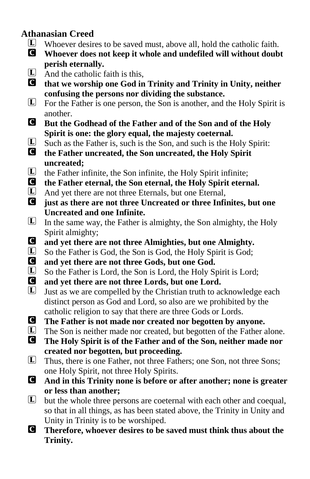#### **Athanasian Creed**

- $\Box$  Whoever desires to be saved must, above all, hold the catholic faith.<br> **O** Whoever does not keep it whole and undefiled will without doub
- C **Whoever does not keep it whole and undefiled will without doubt perish eternally.**
- $\Box$  And the catholic faith is this,<br> **O** that we worship one God in

C **that we worship one God in Trinity and Trinity in Unity, neither confusing the persons nor dividing the substance.**

- $\Box$  For the Father is one person, the Son is another, and the Holy Spirit is another.
- C **But the Godhead of the Father and of the Son and of the Holy Spirit is one: the glory equal, the majesty coeternal.**
- $\Box$  Such as the Father is, such is the Son, and such is the Holy Spirit:<br> **O** the Father uncreated, the Son uncreated, the Holy Spirit
- C **the Father uncreated, the Son uncreated, the Holy Spirit uncreated;**
- $\Box$  the Father infinite, the Son infinite, the Holy Spirit infinite;<br>  $\Box$  the Father eternal, the Son eternal, the Holy Spirit etern
- **C** the Father eternal, the Son eternal, the Holy Spirit eternal.<br>
L And yet there are not three Eternals but one Eternal
- $L$  And yet there are not three Eternals, but one Eternal,<br> **Q** iust as there are not three Uncreated or three Infinition-
- just as there are not three Uncreated or three Infinites, but one **Uncreated and one Infinite.**
- $\Box$  In the same way, the Father is almighty, the Son almighty, the Holy Spirit almighty;
- C **and yet there are not three Almighties, but one Almighty.**
- □ So the Father is God, the Son is God, the Holy Spirit is God;<br>■ and vet there are not three Gods, but one God.
- **C** and yet there are not three Gods, but one God.<br> **C** So the Father is Lord, the Son is Lord, the Holy So
- $\Box$  So the Father is Lord, the Son is Lord, the Holy Spirit is Lord;<br> **Q** and vet there are not three Lords, but one Lord.
- and yet there are not three Lords, but one Lord.
- $\Box$  Just as we are compelled by the Christian truth to acknowledge each distinct person as God and Lord, so also are we prohibited by the catholic religion to say that there are three Gods or Lords.
- **C** The Father is not made nor created nor begotten by anyone.<br> **C** The Son is neither made nor created, but begotten of the Father a
- $\Box$  The Son is neither made nor created, but begotten of the Father alone.<br> **C** The Holy Spirit is of the Father and of the Son, neither made nor
- C **The Holy Spirit is of the Father and of the Son, neither made nor created nor begotten, but proceeding.**
- L Thus, there is one Father, not three Fathers; one Son, not three Sons; one Holy Spirit, not three Holy Spirits.
- C **And in this Trinity none is before or after another; none is greater or less than another;**
- $\Box$  but the whole three persons are coeternal with each other and coequal, so that in all things, as has been stated above, the Trinity in Unity and Unity in Trinity is to be worshiped.
- C **Therefore, whoever desires to be saved must think thus about the Trinity.**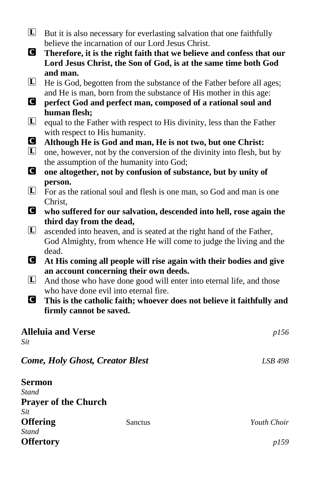- $\Box$  But it is also necessary for everlasting salvation that one faithfully believe the incarnation of our Lord Jesus Christ.
- C **Therefore, it is the right faith that we believe and confess that our Lord Jesus Christ, the Son of God, is at the same time both God and man.**
- L He is God, begotten from the substance of the Father before all ages; and He is man, born from the substance of His mother in this age:
- C **perfect God and perfect man, composed of a rational soul and human flesh;**
- $\Box$  equal to the Father with respect to His divinity, less than the Father with respect to His humanity.
- C **Although He is God and man, He is not two, but one Christ:**
- $\Box$  one, however, not by the conversion of the divinity into flesh, but by the assumption of the humanity into God;
- C **one altogether, not by confusion of substance, but by unity of person.**
- L For as the rational soul and flesh is one man, so God and man is one Christ,
- C **who suffered for our salvation, descended into hell, rose again the third day from the dead,**
- $\Box$  ascended into heaven, and is seated at the right hand of the Father, God Almighty, from whence He will come to judge the living and the dead.
- C **At His coming all people will rise again with their bodies and give an account concerning their own deeds.**
- $\Box$  And those who have done good will enter into eternal life, and those who have done evil into eternal fire.
- C **This is the catholic faith; whoever does not believe it faithfully and firmly cannot be saved.**

| <b>Alleluia and Verse</b>              |         | p156        |
|----------------------------------------|---------|-------------|
| Sit                                    |         |             |
| <b>Come, Holy Ghost, Creator Blest</b> |         | LSB 498     |
| <b>Sermon</b>                          |         |             |
| Stand                                  |         |             |
| <b>Prayer of the Church</b>            |         |             |
| Sit                                    |         |             |
| <b>Offering</b>                        | Sanctus | Youth Choir |
| <b>Stand</b>                           |         |             |
| <b>Offertory</b>                       |         | <i>p159</i> |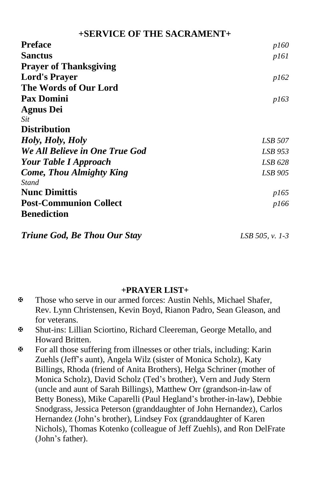#### **+SERVICE OF THE SACRAMENT+**

| <b>Preface</b>                     | p160           |
|------------------------------------|----------------|
| <b>Sanctus</b>                     | p161           |
| <b>Prayer of Thanksgiving</b>      |                |
| <b>Lord's Prayer</b>               | p162           |
| The Words of Our Lord              |                |
| <b>Pax Domini</b>                  | p163           |
| <b>Agnus Dei</b>                   |                |
| Sit                                |                |
| <b>Distribution</b>                |                |
| Holy, Holy, Holy                   | <i>LSB</i> 507 |
| We All Believe in One True God     | LSB 953        |
| <b>Your Table I Approach</b>       | LSB 628        |
| <b>Come, Thou Almighty King</b>    | LSB 905        |
| Stand                              |                |
| <b>Nunc Dimittis</b>               | <i>p165</i>    |
| <b>Post-Communion Collect</b>      | p166           |
| <b>Benediction</b>                 |                |
| $\sim$<br>$\alpha$ in $m$ $\alpha$ |                |

*Triune God, Be Thou Our Stay LSB 505, v. 1-3*

#### **+PRAYER LIST+**

- Those who serve in our armed forces: Austin Nehls, Michael Shafer, Rev. Lynn Christensen, Kevin Boyd, Rianon Padro, Sean Gleason, and for veterans.
- Shut-ins: Lillian Sciortino, Richard Cleereman, George Metallo, and Howard Britten.
- For all those suffering from illnesses or other trials, including: Karin Zuehls (Jeff's aunt), Angela Wilz (sister of Monica Scholz), Katy Billings, Rhoda (friend of Anita Brothers), Helga Schriner (mother of Monica Scholz), David Scholz (Ted's brother), Vern and Judy Stern (uncle and aunt of Sarah Billings), Matthew Orr (grandson-in-law of Betty Boness), Mike Caparelli (Paul Hegland's brother-in-law), Debbie Snodgrass, Jessica Peterson (granddaughter of John Hernandez), Carlos Hernandez (John's brother), Lindsey Fox (granddaughter of Karen Nichols), Thomas Kotenko (colleague of Jeff Zuehls), and Ron DelFrate (John's father).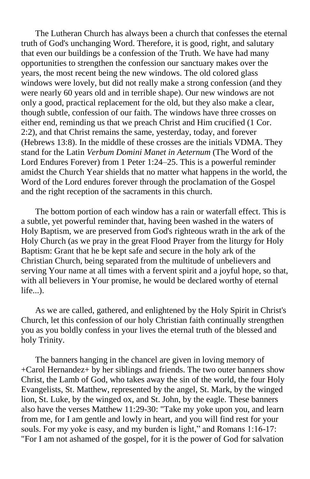The Lutheran Church has always been a church that confesses the eternal truth of God's unchanging Word. Therefore, it is good, right, and salutary that even our buildings be a confession of the Truth. We have had many opportunities to strengthen the confession our sanctuary makes over the years, the most recent being the new windows. The old colored glass windows were lovely, but did not really make a strong confession (and they were nearly 60 years old and in terrible shape). Our new windows are not only a good, practical replacement for the old, but they also make a clear, though subtle, confession of our faith. The windows have three crosses on either end, reminding us that we preach Christ and Him crucified (1 Cor. 2:2), and that Christ remains the same, yesterday, today, and forever (Hebrews 13:8). In the middle of these crosses are the initials VDMA. They stand for the Latin *Verbum Domini Manet in Aeternum* (The Word of the Lord Endures Forever) from 1 Peter 1:24–25. This is a powerful reminder amidst the Church Year shields that no matter what happens in the world, the Word of the Lord endures forever through the proclamation of the Gospel and the right reception of the sacraments in this church.

The bottom portion of each window has a rain or waterfall effect. This is a subtle, yet powerful reminder that, having been washed in the waters of Holy Baptism, we are preserved from God's righteous wrath in the ark of the Holy Church (as we pray in the great Flood Prayer from the liturgy for Holy Baptism: Grant that he be kept safe and secure in the holy ark of the Christian Church, being separated from the multitude of unbelievers and serving Your name at all times with a fervent spirit and a joyful hope, so that, with all believers in Your promise, he would be declared worthy of eternal life...).

As we are called, gathered, and enlightened by the Holy Spirit in Christ's Church, let this confession of our holy Christian faith continually strengthen you as you boldly confess in your lives the eternal truth of the blessed and holy Trinity.

The banners hanging in the chancel are given in loving memory of +Carol Hernandez+ by her siblings and friends. The two outer banners show Christ, the Lamb of God, who takes away the sin of the world, the four Holy Evangelists, St. Matthew, represented by the angel, St. Mark, by the winged lion, St. Luke, by the winged ox, and St. John, by the eagle. These banners also have the verses Matthew 11:29-30: "Take my yoke upon you, and learn from me, for I am gentle and lowly in heart, and you will find rest for your souls. For my yoke is easy, and my burden is light," and Romans 1:16-17: "For I am not ashamed of the gospel, for it is the power of God for salvation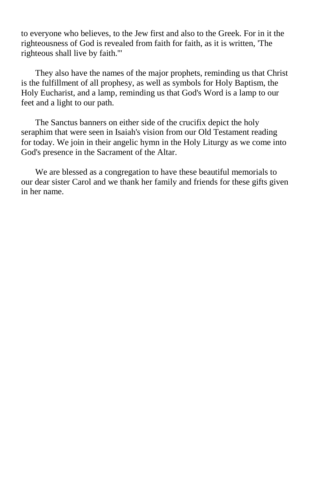to everyone who believes, to the Jew first and also to the Greek. For in it the righteousness of God is revealed from faith for faith, as it is written, 'The righteous shall live by faith.'"

They also have the names of the major prophets, reminding us that Christ is the fulfillment of all prophesy, as well as symbols for Holy Baptism, the Holy Eucharist, and a lamp, reminding us that God's Word is a lamp to our feet and a light to our path.

The Sanctus banners on either side of the crucifix depict the holy seraphim that were seen in Isaiah's vision from our Old Testament reading for today. We join in their angelic hymn in the Holy Liturgy as we come into God's presence in the Sacrament of the Altar.

We are blessed as a congregation to have these beautiful memorials to our dear sister Carol and we thank her family and friends for these gifts given in her name.